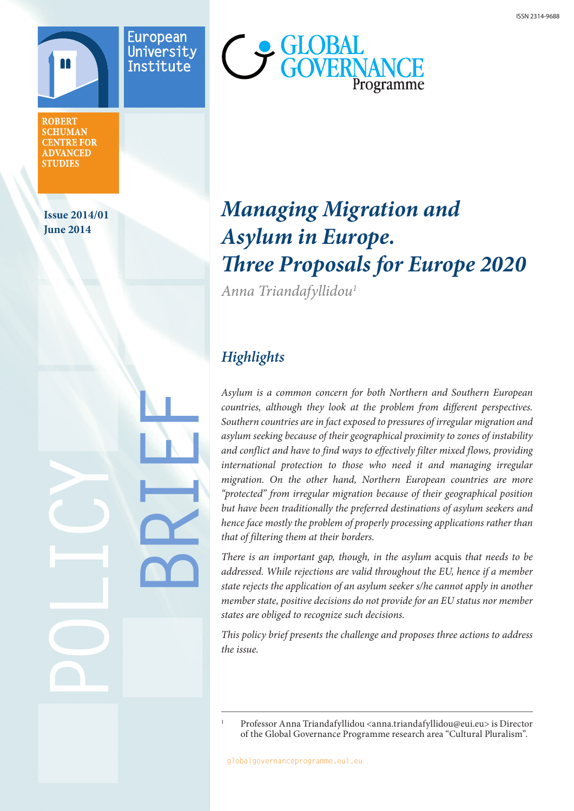

**ROBERT SCHUMAN CENTRE FOR ADVANCED STUDIES** 

**Issue 2014/01 June 2014**

**POLICY**

**BRIEF**



# *Managing Migration and Asylum in Europe. Three Proposals for Europe 2020*

*Anna Triandafyllidou1*

## *Highlights*

*Asylum is a common concern for both Northern and Southern European countries, although they look at the problem from different perspectives. Southern countries are in fact exposed to pressures of irregular migration and asylum seeking because of their geographical proximity to zones of instability and conflict and have to find ways to effectively filter mixed flows, providing international protection to those who need it and managing irregular migration. On the other hand, Northern European countries are more "protected" from irregular migration because of their geographical position but have been traditionally the preferred destinations of asylum seekers and hence face mostly the problem of properly processing applications rather than that of filtering them at their borders.* 

*There is an important gap, though, in the asylum* acquis *that needs to be addressed. While rejections are valid throughout the EU, hence if a member state rejects the application of an asylum seeker s/he cannot apply in another member state, positive decisions do not provide for an EU status nor member states are obliged to recognize such decisions.* 

*This policy brief presents the challenge and proposes three actions to address the issue.*

<sup>1</sup> Professor Anna Triandafyllidou <anna.triandafyllidou@eui.eu> is Director of the Global Governance Programme research area "Cultural Pluralism".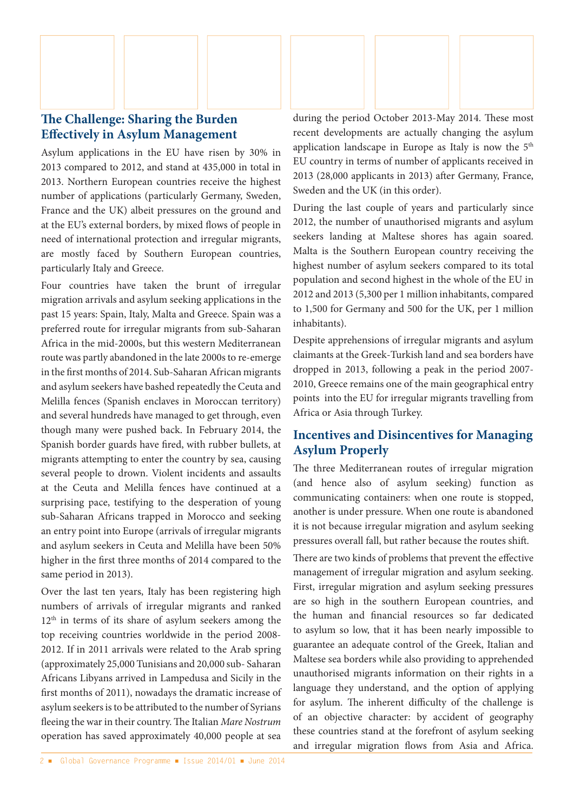

Asylum applications in the EU have risen by 30% in 2013 compared to 2012, and stand at 435,000 in total in 2013. Northern European countries receive the highest number of applications (particularly Germany, Sweden, France and the UK) albeit pressures on the ground and at the EU's external borders, by mixed flows of people in need of international protection and irregular migrants, are mostly faced by Southern European countries, particularly Italy and Greece.

Four countries have taken the brunt of irregular migration arrivals and asylum seeking applications in the past 15 years: Spain, Italy, Malta and Greece. Spain was a preferred route for irregular migrants from sub-Saharan Africa in the mid-2000s, but this western Mediterranean route was partly abandoned in the late 2000s to re-emerge in the first months of 2014. Sub-Saharan African migrants and asylum seekers have bashed repeatedly the Ceuta and Melilla fences (Spanish enclaves in Moroccan territory) and several hundreds have managed to get through, even though many were pushed back. In February 2014, the Spanish border guards have fired, with rubber bullets, at migrants attempting to enter the country by sea, causing several people to drown. Violent incidents and assaults at the Ceuta and Melilla fences have continued at a surprising pace, testifying to the desperation of young sub-Saharan Africans trapped in Morocco and seeking an entry point into Europe (arrivals of irregular migrants and asylum seekers in Ceuta and Melilla have been 50% higher in the first three months of 2014 compared to the same period in 2013).

Over the last ten years, Italy has been registering high numbers of arrivals of irregular migrants and ranked  $12<sup>th</sup>$  in terms of its share of asylum seekers among the top receiving countries worldwide in the period 2008- 2012. If in 2011 arrivals were related to the Arab spring (approximately 25,000 Tunisians and 20,000 sub- Saharan Africans Libyans arrived in Lampedusa and Sicily in the first months of 2011), nowadays the dramatic increase of asylum seekers is to be attributed to the number of Syrians fleeing the war in their country. The Italian *Mare Nostrum*  operation has saved approximately 40,000 people at sea

during the period October 2013-May 2014. These most recent developments are actually changing the asylum application landscape in Europe as Italy is now the 5<sup>th</sup> EU country in terms of number of applicants received in 2013 (28,000 applicants in 2013) after Germany, France, Sweden and the UK (in this order).

During the last couple of years and particularly since 2012, the number of unauthorised migrants and asylum seekers landing at Maltese shores has again soared. Malta is the Southern European country receiving the highest number of asylum seekers compared to its total population and second highest in the whole of the EU in 2012 and 2013 (5,300 per 1 million inhabitants, compared to 1,500 for Germany and 500 for the UK, per 1 million inhabitants).

Despite apprehensions of irregular migrants and asylum claimants at the Greek-Turkish land and sea borders have dropped in 2013, following a peak in the period 2007- 2010, Greece remains one of the main geographical entry points into the EU for irregular migrants travelling from Africa or Asia through Turkey.

### **Incentives and Disincentives for Managing Asylum Properly**

The three Mediterranean routes of irregular migration (and hence also of asylum seeking) function as communicating containers: when one route is stopped, another is under pressure. When one route is abandoned it is not because irregular migration and asylum seeking pressures overall fall, but rather because the routes shift.

There are two kinds of problems that prevent the effective management of irregular migration and asylum seeking. First, irregular migration and asylum seeking pressures are so high in the southern European countries, and the human and financial resources so far dedicated to asylum so low, that it has been nearly impossible to guarantee an adequate control of the Greek, Italian and Maltese sea borders while also providing to apprehended unauthorised migrants information on their rights in a language they understand, and the option of applying for asylum. The inherent difficulty of the challenge is of an objective character: by accident of geography these countries stand at the forefront of asylum seeking and irregular migration flows from Asia and Africa.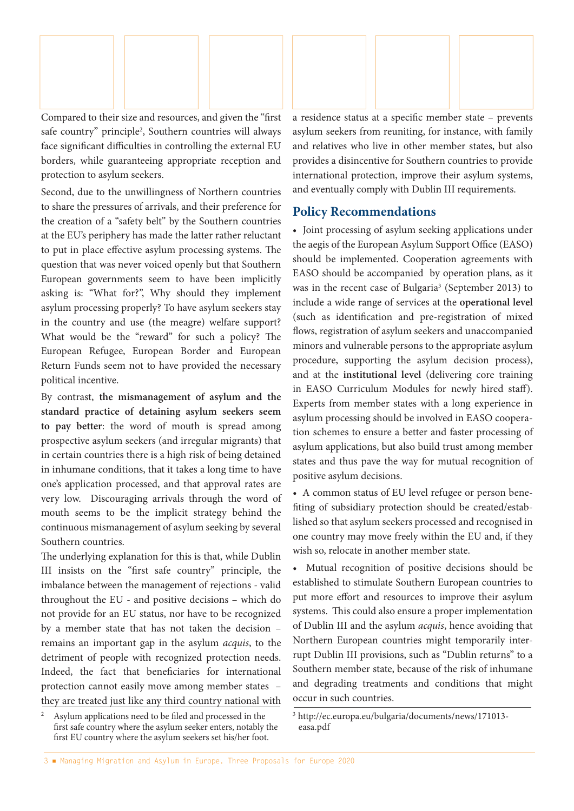

Compared to their size and resources, and given the "first safe country" principle<sup>2</sup>, Southern countries will always face significant difficulties in controlling the external EU borders, while guaranteeing appropriate reception and protection to asylum seekers.

Second, due to the unwillingness of Northern countries to share the pressures of arrivals, and their preference for the creation of a "safety belt" by the Southern countries at the EU's periphery has made the latter rather reluctant to put in place effective asylum processing systems. The question that was never voiced openly but that Southern European governments seem to have been implicitly asking is: "What for?", Why should they implement asylum processing properly? To have asylum seekers stay in the country and use (the meagre) welfare support? What would be the "reward" for such a policy? The European Refugee, European Border and European Return Funds seem not to have provided the necessary political incentive.

By contrast, **the mismanagement of asylum and the standard practice of detaining asylum seekers seem to pay better**: the word of mouth is spread among prospective asylum seekers (and irregular migrants) that in certain countries there is a high risk of being detained in inhumane conditions, that it takes a long time to have one's application processed, and that approval rates are very low. Discouraging arrivals through the word of mouth seems to be the implicit strategy behind the continuous mismanagement of asylum seeking by several Southern countries.

The underlying explanation for this is that, while Dublin III insists on the "first safe country" principle, the imbalance between the management of rejections - valid throughout the EU - and positive decisions – which do not provide for an EU status, nor have to be recognized by a member state that has not taken the decision – remains an important gap in the asylum *acquis*, to the detriment of people with recognized protection needs. Indeed, the fact that beneficiaries for international protection cannot easily move among member states – they are treated just like any third country national with

<sup>2</sup> Asylum applications need to be filed and processed in the first safe country where the asylum seeker enters, notably the first EU country where the asylum seekers set his/her foot.

a residence status at a specific member state – prevents asylum seekers from reuniting, for instance, with family and relatives who live in other member states, but also provides a disincentive for Southern countries to provide international protection, improve their asylum systems, and eventually comply with Dublin III requirements.

#### **Policy Recommendations**

• Joint processing of asylum seeking applications under the aegis of the European Asylum Support Office (EASO) should be implemented. Cooperation agreements with EASO should be accompanied by operation plans, as it was in the recent case of Bulgaria<sup>3</sup> (September 2013) to include a wide range of services at the **operational level** (such as identification and pre-registration of mixed flows, registration of asylum seekers and unaccompanied minors and vulnerable persons to the appropriate asylum procedure, supporting the asylum decision process), and at the **institutional level** (delivering core training in EASO Curriculum Modules for newly hired staff). Experts from member states with a long experience in asylum processing should be involved in EASO cooperation schemes to ensure a better and faster processing of asylum applications, but also build trust among member states and thus pave the way for mutual recognition of positive asylum decisions.

• A common status of EU level refugee or person benefiting of subsidiary protection should be created/established so that asylum seekers processed and recognised in one country may move freely within the EU and, if they wish so, relocate in another member state.

• Mutual recognition of positive decisions should be established to stimulate Southern European countries to put more effort and resources to improve their asylum systems. This could also ensure a proper implementation of Dublin III and the asylum *acquis*, hence avoiding that Northern European countries might temporarily interrupt Dublin III provisions, such as "Dublin returns" to a Southern member state, because of the risk of inhumane and degrading treatments and conditions that might occur in such countries.

<sup>3</sup> http://ec.europa.eu/bulgaria/documents/news/171013 easa.pdf